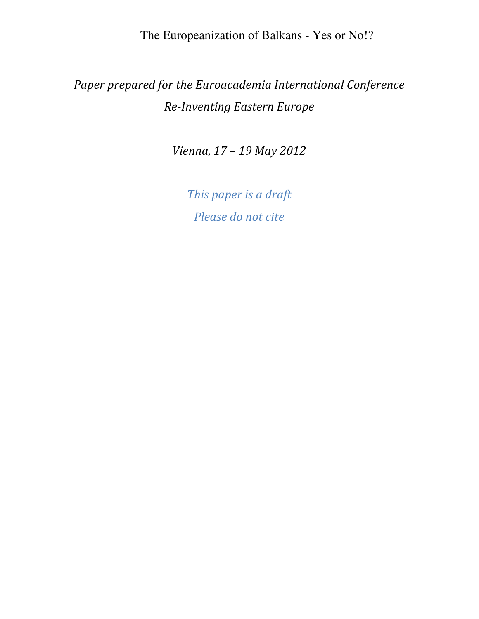# Paper prepared for the Euroacademia International Conference Re-Inventing Eastern Europe

Vienna, 17 – 19 May 2012

This paper is a draft Please do not cite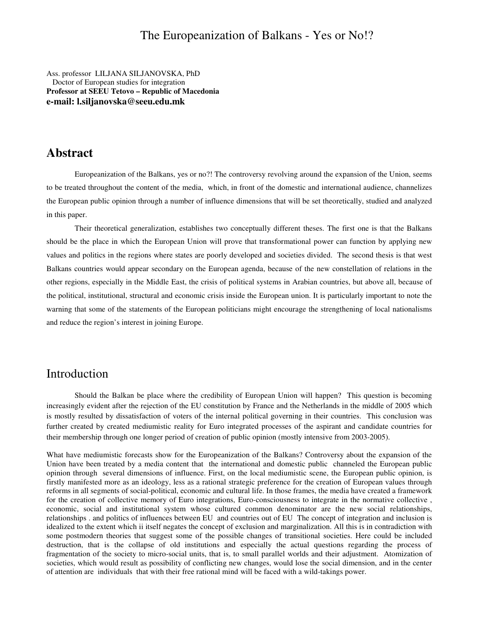Ass. professor LILJANA SILJANOVSKA, PhD Doctor of European studies for integration **Professor at SEEU Tetovo – Republic of Macedonia e-mail: l.siljanovska@seeu.edu.mk** 

#### **Abstract**

Europeanization of the Balkans, yes or no?! The controversy revolving around the expansion of the Union, seems to be treated throughout the content of the media, which, in front of the domestic and international audience, channelizes the European public opinion through a number of influence dimensions that will be set theoretically, studied and analyzed in this paper.

Their theoretical generalization, establishes two conceptually different theses. The first one is that the Balkans should be the place in which the European Union will prove that transformational power can function by applying new values and politics in the regions where states are poorly developed and societies divided. The second thesis is that west Balkans countries would appear secondary on the European agenda, because of the new constellation of relations in the other regions, especially in the Middle East, the crisis of political systems in Arabian countries, but above all, because of the political, institutional, structural and economic crisis inside the European union. It is particularly important to note the warning that some of the statements of the European politicians might encourage the strengthening of local nationalisms and reduce the region's interest in joining Europe.

#### Introduction

 Should the Balkan be place where the credibility of European Union will happen? This question is becoming increasingly evident after the rejection of the EU constitution by France and the Netherlands in the middle of 2005 which is mostly resulted by dissatisfaction of voters of the internal political governing in their countries. This conclusion was further created by created mediumistic reality for Euro integrated processes of the aspirant and candidate countries for their membership through one longer period of creation of public opinion (mostly intensive from 2003-2005).

What have mediumistic forecasts show for the Europeanization of the Balkans? Controversy about the expansion of the Union have been treated by a media content that the international and domestic public channeled the European public opinion through several dimensions of influence. First, on the local mediumistic scene, the European public opinion, is firstly manifested more as an ideology, less as a rational strategic preference for the creation of European values through reforms in all segments of social-political, economic and cultural life. In those frames, the media have created a framework for the creation of collective memory of Euro integrations, Euro-consciousness to integrate in the normative collective , economic, social and institutional system whose cultured common denominator are the new social relationships, relationships . and politics of influences between EU and countries out of EU The concept of integration and inclusion is idealized to the extent which ii itself negates the concept of exclusion and marginalization. All this is in contradiction with some postmodern theories that suggest some of the possible changes of transitional societies. Here could be included destruction, that is the collapse of old institutions and especially the actual questions regarding the process of fragmentation of the society to micro-social units, that is, to small parallel worlds and their adjustment. Atomization of societies, which would result as possibility of conflicting new changes, would lose the social dimension, and in the center of attention are individuals that with their free rational mind will be faced with a wild-takings power.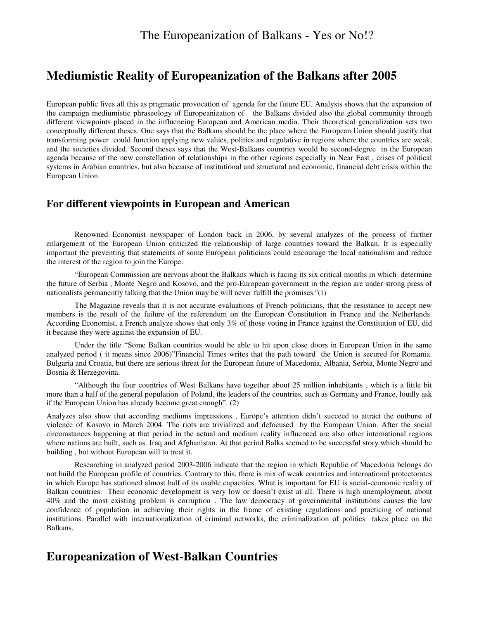# **Mediumistic Reality of Europeanization of the Balkans after 2005**

European public lives all this as pragmatic provocation of agenda for the future EU. Analysis shows that the expansion of the campaign mediumistic phraseology of Europeanization of the Balkans divided also the global community through different viewpoints placed in the influencing European and American media. Their theoretical generalization sets two conceptually different theses. One says that the Balkans should be the place where the European Union should justify that transforming power could function applying new values, politics and regulative in regions where the countries are weak, and the societies divided. Second theses says that the West-Balkans countries would be second-degree in the European agenda because of the new constellation of relationships in the other regions especially in Near East , crises of political systems in Arabian countries, but also because of institutional and structural and economic, financial debt crisis within the European Union.

#### **For different viewpoints in European and American**

 Renowned Economist newspaper of London back in 2006, by several analyzes of the process of further enlargement of the European Union criticized the relationship of large countries toward the Balkan. It is especially important the preventing that statements of some European politicians could encourage the local nationalism and reduce the interest of the region to join the Europe.

 "European Commission are nervous about the Balkans which is facing its six critical months in which determine the future of Serbia , Monte Negro and Kosovo, and the pro-European government in the region are under strong press of nationalists permanently talking that the Union may be will never fulfill the promises."(1)

 The Magazine reveals that it is not accurate evaluations of French politicians, that the resistance to accept new members is the result of the failure of the referendum on the European Constitution in France and the Netherlands. According Economist, a French analyze shows that only 3% of those voting in France against the Constitution of EU, did it because they were against the expansion of EU.

 Under the title "Some Balkan countries would be able to hit upon close doors in European Union in the same analyzed period ( it means since 2006)"Financial Times writes that the path toward the Union is secured for Romania. Bulgaria and Croatia, but there are serious threat for the European future of Macedonia, Albania, Serbia, Monte Negro and Bosnia & Herzegovina.

 "Although the four countries of West Balkans have together about 25 million inhabitants , which is a little bit more than a half of the general population of Poland, the leaders of the countries, such as Germany and France, loudly ask if the European Union has already become great enough". (2)

Analyzes also show that according mediums impressions , Europe's attention didn't succeed to attract the outburst of violence of Kosovo in March 2004. The riots are trivialized and defocused by the European Union. After the social circumstances happening at that period in the actual and medium reality influenced are also other international regions where nations are built, such as Iraq and Afghanistan. At that period Balks seemed to be successful story which should be building , but without European will to treat it.

 Researching in analyzed period 2003-2006 indicate that the region in which Republic of Macedonia belongs do not build the European profile of countries. Contrary to this, there is mix of weak countries and international protectorates in which Europe has stationed almost half of its usable capacities. What is important for EU is social-economic reality of Balkan countries. Their economic development is very low or doesn't exist at all. There is high unemployment, about 40% and the most existing problem is corruption . The law democracy of governmental institutions causes the law confidence of population in achieving their rights in the frame of existing regulations and practicing of national institutions. Parallel with internationalization of criminal networks, the criminalization of politics takes place on the Balkans.

# **Europeanization of West-Balkan Countries**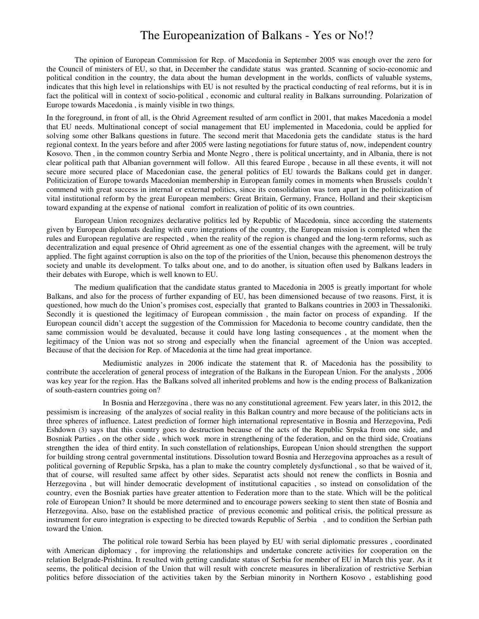The opinion of European Commission for Rep. of Macedonia in September 2005 was enough over the zero for the Council of ministers of EU, so that, in December the candidate status was granted. Scanning of socio-economic and political condition in the country, the data about the human development in the worlds, conflicts of valuable systems, indicates that this high level in relationships with EU is not resulted by the practical conducting of real reforms, but it is in fact the political will in context of socio-political , economic and cultural reality in Balkans surrounding. Polarization of Europe towards Macedonia , is mainly visible in two things.

In the foreground, in front of all, is the Ohrid Agreement resulted of arm conflict in 2001, that makes Macedonia a model that EU needs. Multinational concept of social management that EU implemented in Macedonia, could be applied for solving some other Balkans questions in future. The second merit that Macedonia gets the candidate status is the hard regional context. In the years before and after 2005 were lasting negotiations for future status of, now, independent country Kosovo. Then , in the common country Serbia and Monte Negro , there is political uncertainty, and in Albania, there is not clear political path that Albanian government will follow. All this feared Europe , because in all these events, it will not secure more secured place of Macedonian case, the general politics of EU towards the Balkans could get in danger. Politicization of Europe towards Macedonian membership in European family comes in moments when Brussels couldn't commend with great success in internal or external politics, since its consolidation was torn apart in the politicization of vital institutional reform by the great European members: Great Britain, Germany, France, Holland and their skepticism toward expanding at the expense of national comfort in realization of politic of its own countries.

European Union recognizes declarative politics led by Republic of Macedonia, since according the statements given by European diplomats dealing with euro integrations of the country, the European mission is completed when the rules and European regulative are respected , when the reality of the region is changed and the long-term reforms, such as decentralization and equal presence of Ohrid agreement as one of the essential changes with the agreement, will be truly applied. The fight against corruption is also on the top of the priorities of the Union, because this phenomenon destroys the society and unable its development. To talks about one, and to do another, is situation often used by Balkans leaders in their debates with Europe, which is well known to EU.

The medium qualification that the candidate status granted to Macedonia in 2005 is greatly important for whole Balkans, and also for the process of further expanding of EU, has been dimensioned because of two reasons. First, it is questioned, how much do the Union's promises cost, especially that granted to Balkans countries in 2003 in Thessaloniki. Secondly it is questioned the legitimacy of European commission , the main factor on process of expanding. If the European council didn't accept the suggestion of the Commission for Macedonia to become country candidate, then the same commission would be devaluated, because it could have long lasting consequences , at the moment when the legitimacy of the Union was not so strong and especially when the financial agreement of the Union was accepted. Because of that the decision for Rep. of Macedonia at the time had great importance.

 Mediumistic analyzes in 2006 indicate the statement that R. of Macedonia has the possibility to contribute the acceleration of general process of integration of the Balkans in the European Union. For the analysts , 2006 was key year for the region. Has the Balkans solved all inherited problems and how is the ending process of Balkanization of south-eastern countries going on?

 In Bosnia and Herzegovina , there was no any constitutional agreement. Few years later, in this 2012, the pessimism is increasing of the analyzes of social reality in this Balkan country and more because of the politicians acts in three spheres of influence. Latest prediction of former high international representative in Bosnia and Herzegovina, Pedi Eshdown (3) says that this country goes to destruction because of the acts of the Republic Srpska from one side, and Bosniak Parties , on the other side , which work more in strengthening of the federation, and on the third side, Croatians strengthen the idea of third entity. In such constellation of relationships, European Union should strengthen the support for building strong central governmental institutions. Dissolution toward Bosnia and Herzegovina approaches as a result of political governing of Republic Srpska, has a plan to make the country completely dysfunctional , so that be waived of it, that of course, will resulted same affect by other sides. Separatist acts should not renew the conflicts in Bosnia and Herzegovina , but will hinder democratic development of institutional capacities , so instead on consolidation of the country, even the Bosniak parties have greater attention to Federation more than to the state. Which will be the political role of European Union? It should be more determined and to encourage powers seeking to stent then state of Bosnia and Herzegovina. Also, base on the established practice of previous economic and political crisis, the political pressure as instrument for euro integration is expecting to be directed towards Republic of Serbia , and to condition the Serbian path toward the Union.

 The political role toward Serbia has been played by EU with serial diplomatic pressures , coordinated with American diplomacy , for improving the relationships and undertake concrete activities for cooperation on the relation Belgrade-Prishtina. It resulted with getting candidate status of Serbia for member of EU in March this year. As it seems, the political decision of the Union that will result with concrete measures in liberalization of restrictive Serbian politics before dissociation of the activities taken by the Serbian minority in Northern Kosovo , establishing good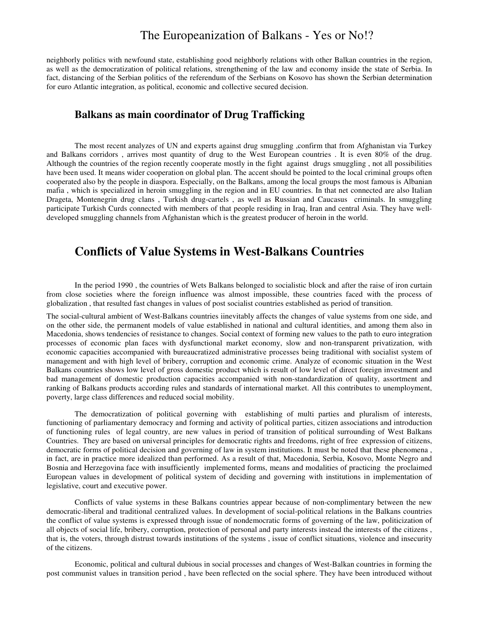neighborly politics with newfound state, establishing good neighborly relations with other Balkan countries in the region, as well as the democratization of political relations, strengthening of the law and economy inside the state of Serbia. In fact, distancing of the Serbian politics of the referendum of the Serbians on Kosovo has shown the Serbian determination for euro Atlantic integration, as political, economic and collective secured decision.

#### **Balkans as main coordinator of Drug Trafficking**

The most recent analyzes of UN and experts against drug smuggling ,confirm that from Afghanistan via Turkey and Balkans corridors , arrives most quantity of drug to the West European countries . It is even 80% of the drug. Although the countries of the region recently cooperate mostly in the fight against drugs smuggling , not all possibilities have been used. It means wider cooperation on global plan. The accent should be pointed to the local criminal groups often cooperated also by the people in diaspora. Especially, on the Balkans, among the local groups the most famous is Albanian mafia , which is specialized in heroin smuggling in the region and in EU countries. In that net connected are also Italian Drageta, Montenegrin drug clans , Turkish drug-cartels , as well as Russian and Caucasus criminals. In smuggling participate Turkish Curds connected with members of that people residing in Iraq, Iran and central Asia. They have welldeveloped smuggling channels from Afghanistan which is the greatest producer of heroin in the world.

#### **Conflicts of Value Systems in West-Balkans Countries**

In the period 1990 , the countries of Wets Balkans belonged to socialistic block and after the raise of iron curtain from close societies where the foreign influence was almost impossible, these countries faced with the process of globalization , that resulted fast changes in values of post socialist countries established as period of transition.

The social-cultural ambient of West-Balkans countries iinevitably affects the changes of value systems from one side, and on the other side, the permanent models of value established in national and cultural identities, and among them also in Macedonia, shows tendencies of resistance to changes. Social context of forming new values to the path to euro integration processes of economic plan faces with dysfunctional market economy, slow and non-transparent privatization, with economic capacities accompanied with bureaucratized administrative processes being traditional with socialist system of management and with high level of bribery, corruption and economic crime. Analyze of economic situation in the West Balkans countries shows low level of gross domestic product which is result of low level of direct foreign investment and bad management of domestic production capacities accompanied with non-standardization of quality, assortment and ranking of Balkans products according rules and standards of international market. All this contributes to unemployment, poverty, large class differences and reduced social mobility.

 The democratization of political governing with establishing of multi parties and pluralism of interests, functioning of parliamentary democracy and forming and activity of political parties, citizen associations and introduction of functioning rules of legal country, are new values in period of transition of political surrounding of West Balkans Countries. They are based on universal principles for democratic rights and freedoms, right of free expression of citizens, democratic forms of political decision and governing of law in system institutions. It must be noted that these phenomena , in fact, are in practice more idealized than performed. As a result of that, Macedonia, Serbia, Kosovo, Monte Negro and Bosnia and Herzegovina face with insufficiently implemented forms, means and modalities of practicing the proclaimed European values in development of political system of deciding and governing with institutions in implementation of legislative, court and executive power.

 Conflicts of value systems in these Balkans countries appear because of non-complimentary between the new democratic-liberal and traditional centralized values. In development of social-political relations in the Balkans countries the conflict of value systems is expressed through issue of nondemocratic forms of governing of the law, politicization of all objects of social life, bribery, corruption, protection of personal and party interests instead the interests of the citizens , that is, the voters, through distrust towards institutions of the systems , issue of conflict situations, violence and insecurity of the citizens.

 Economic, political and cultural dubious in social processes and changes of West-Balkan countries in forming the post communist values in transition period , have been reflected on the social sphere. They have been introduced without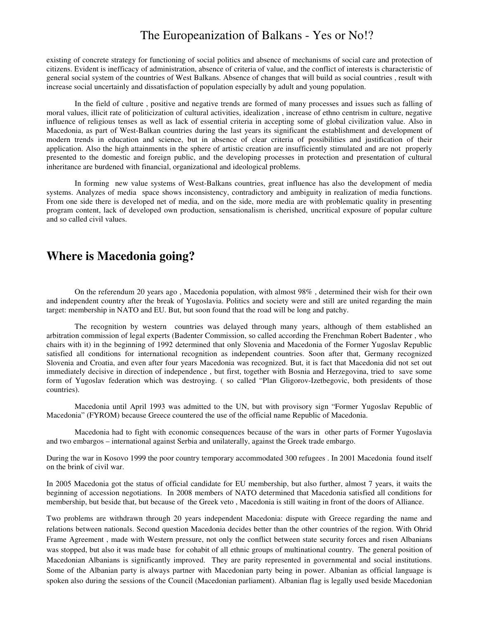existing of concrete strategy for functioning of social politics and absence of mechanisms of social care and protection of citizens. Evident is inefficacy of administration, absence of criteria of value, and the conflict of interests is characteristic of general social system of the countries of West Balkans. Absence of changes that will build as social countries , result with increase social uncertainly and dissatisfaction of population especially by adult and young population.

 In the field of culture , positive and negative trends are formed of many processes and issues such as falling of moral values, illicit rate of politicization of cultural activities, idealization , increase of ethno centrism in culture, negative influence of religious tenses as well as lack of essential criteria in accepting some of global civilization value. Also in Macedonia, as part of West-Balkan countries during the last years its significant the establishment and development of modern trends in education and science, but in absence of clear criteria of possibilities and justification of their application. Also the high attainments in the sphere of artistic creation are insufficiently stimulated and are not properly presented to the domestic and foreign public, and the developing processes in protection and presentation of cultural inheritance are burdened with financial, organizational and ideological problems.

 In forming new value systems of West-Balkans countries, great influence has also the development of media systems. Analyzes of media space shows inconsistency, contradictory and ambiguity in realization of media functions. From one side there is developed net of media, and on the side, more media are with problematic quality in presenting program content, lack of developed own production, sensationalism is cherished, uncritical exposure of popular culture and so called civil values.

#### **Where is Macedonia going?**

 On the referendum 20 years ago , Macedonia population, with almost 98% , determined their wish for their own and independent country after the break of Yugoslavia. Politics and society were and still are united regarding the main target: membership in NATO and EU. But, but soon found that the road will be long and patchy.

 The recognition by western countries was delayed through many years, although of them established an arbitration commission of legal experts (Badenter Commission, so called according the Frenchman Robert Badenter , who chairs with it) in the beginning of 1992 determined that only Slovenia and Macedonia of the Former Yugoslav Republic satisfied all conditions for international recognition as independent countries. Soon after that, Germany recognized Slovenia and Croatia, and even after four years Macedonia was recognized. But, it is fact that Macedonia did not set out immediately decisive in direction of independence , but first, together with Bosnia and Herzegovina, tried to save some form of Yugoslav federation which was destroying. ( so called "Plan Gligorov-Izetbegovic, both presidents of those countries).

 Macedonia until April 1993 was admitted to the UN, but with provisory sign "Former Yugoslav Republic of Macedonia" (FYROM) because Greece countered the use of the official name Republic of Macedonia.

 Macedonia had to fight with economic consequences because of the wars in other parts of Former Yugoslavia and two embargos – international against Serbia and unilaterally, against the Greek trade embargo.

During the war in Kosovo 1999 the poor country temporary accommodated 300 refugees . In 2001 Macedonia found itself on the brink of civil war.

In 2005 Macedonia got the status of official candidate for EU membership, but also further, almost 7 years, it waits the beginning of accession negotiations. In 2008 members of NATO determined that Macedonia satisfied all conditions for membership, but beside that, but because of the Greek veto , Macedonia is still waiting in front of the doors of Alliance.

Two problems are withdrawn through 20 years independent Macedonia: dispute with Greece regarding the name and relations between nationals. Second question Macedonia decides better than the other countries of the region. With Ohrid Frame Agreement , made with Western pressure, not only the conflict between state security forces and risen Albanians was stopped, but also it was made base for cohabit of all ethnic groups of multinational country. The general position of Macedonian Albanians is significantly improved. They are parity represented in governmental and social institutions. Some of the Albanian party is always partner with Macedonian party being in power. Albanian as official language is spoken also during the sessions of the Council (Macedonian parliament). Albanian flag is legally used beside Macedonian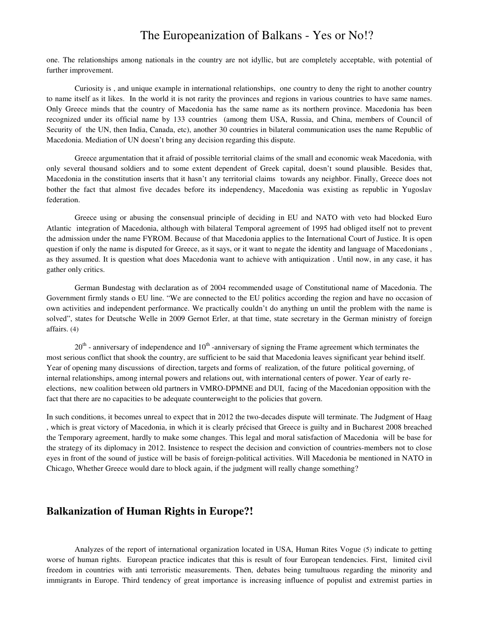one. The relationships among nationals in the country are not idyllic, but are completely acceptable, with potential of further improvement.

 Curiosity is , and unique example in international relationships, one country to deny the right to another country to name itself as it likes. In the world it is not rarity the provinces and regions in various countries to have same names. Only Greece minds that the country of Macedonia has the same name as its northern province. Macedonia has been recognized under its official name by 133 countries (among them USA, Russia, and China, members of Council of Security of the UN, then India, Canada, etc), another 30 countries in bilateral communication uses the name Republic of Macedonia. Mediation of UN doesn't bring any decision regarding this dispute.

Greece argumentation that it afraid of possible territorial claims of the small and economic weak Macedonia, with only several thousand soldiers and to some extent dependent of Greek capital, doesn't sound plausible. Besides that, Macedonia in the constitution inserts that it hasn't any territorial claims towards any neighbor. Finally, Greece does not bother the fact that almost five decades before its independency, Macedonia was existing as republic in Yugoslav federation.

Greece using or abusing the consensual principle of deciding in EU and NATO with veto had blocked Euro Atlantic integration of Macedonia, although with bilateral Temporal agreement of 1995 had obliged itself not to prevent the admission under the name FYROM. Because of that Macedonia applies to the International Court of Justice. It is open question if only the name is disputed for Greece, as it says, or it want to negate the identity and language of Macedonians , as they assumed. It is question what does Macedonia want to achieve with antiquization . Until now, in any case, it has gather only critics.

 German Bundestag with declaration as of 2004 recommended usage of Constitutional name of Macedonia. The Government firmly stands o EU line. "We are connected to the EU politics according the region and have no occasion of own activities and independent performance. We practically couldn't do anything un until the problem with the name is solved", states for Deutsche Welle in 2009 Gernot Erler, at that time, state secretary in the German ministry of foreign affairs. (4)

 $20<sup>th</sup>$  - anniversary of independence and  $10<sup>th</sup>$  -anniversary of signing the Frame agreement which terminates the most serious conflict that shook the country, are sufficient to be said that Macedonia leaves significant year behind itself. Year of opening many discussions of direction, targets and forms of realization, of the future political governing, of internal relationships, among internal powers and relations out, with international centers of power. Year of early reelections, new coalition between old partners in VMRO-DPMNE and DUI, facing of the Macedonian opposition with the fact that there are no capacities to be adequate counterweight to the policies that govern.

In such conditions, it becomes unreal to expect that in 2012 the two-decades dispute will terminate. The Judgment of Haag , which is great victory of Macedonia, in which it is clearly précised that Greece is guilty and in Bucharest 2008 breached the Temporary agreement, hardly to make some changes. This legal and moral satisfaction of Macedonia will be base for the strategy of its diplomacy in 2012. Insistence to respect the decision and conviction of countries-members not to close eyes in front of the sound of justice will be basis of foreign-political activities. Will Macedonia be mentioned in NATO in Chicago, Whether Greece would dare to block again, if the judgment will really change something?

#### **Balkanization of Human Rights in Europe?!**

Analyzes of the report of international organization located in USA, Human Rites Vogue (5) indicate to getting worse of human rights. European practice indicates that this is result of four European tendencies. First, limited civil freedom in countries with anti terroristic measurements. Then, debates being tumultuous regarding the minority and immigrants in Europe. Third tendency of great importance is increasing influence of populist and extremist parties in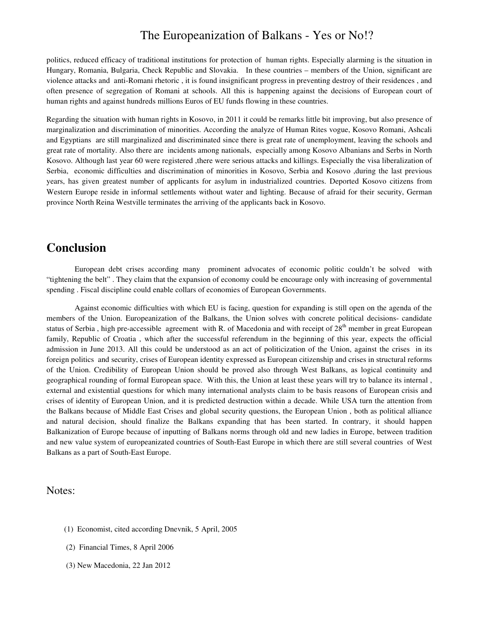politics, reduced efficacy of traditional institutions for protection of human rights. Especially alarming is the situation in Hungary, Romania, Bulgaria, Check Republic and Slovakia. In these countries – members of the Union, significant are violence attacks and anti-Romani rhetoric , it is found insignificant progress in preventing destroy of their residences , and often presence of segregation of Romani at schools. All this is happening against the decisions of European court of human rights and against hundreds millions Euros of EU funds flowing in these countries.

Regarding the situation with human rights in Kosovo, in 2011 it could be remarks little bit improving, but also presence of marginalization and discrimination of minorities. According the analyze of Human Rites vogue, Kosovo Romani, Ashcali and Egyptians are still marginalized and discriminated since there is great rate of unemployment, leaving the schools and great rate of mortality. Also there are incidents among nationals, especially among Kosovo Albanians and Serbs in North Kosovo. Although last year 60 were registered ,there were serious attacks and killings. Especially the visa liberalization of Serbia, economic difficulties and discrimination of minorities in Kosovo, Serbia and Kosovo ,during the last previous years, has given greatest number of applicants for asylum in industrialized countries. Deported Kosovo citizens from Western Europe reside in informal settlements without water and lighting. Because of afraid for their security, German province North Reina Westville terminates the arriving of the applicants back in Kosovo.

# **Conclusion**

 European debt crises according many prominent advocates of economic politic couldn't be solved with "tightening the belt" . They claim that the expansion of economy could be encourage only with increasing of governmental spending . Fiscal discipline could enable collars of economies of European Governments.

 Against economic difficulties with which EU is facing, question for expanding is still open on the agenda of the members of the Union. Europeanization of the Balkans, the Union solves with concrete political decisions- candidate status of Serbia, high pre-accessible agreement with R. of Macedonia and with receipt of  $28<sup>th</sup>$  member in great European family, Republic of Croatia, which after the successful referendum in the beginning of this year, expects the official admission in June 2013. All this could be understood as an act of politicization of the Union, against the crises in its foreign politics and security, crises of European identity expressed as European citizenship and crises in structural reforms of the Union. Credibility of European Union should be proved also through West Balkans, as logical continuity and geographical rounding of formal European space. With this, the Union at least these years will try to balance its internal , external and existential questions for which many international analysts claim to be basis reasons of European crisis and crises of identity of European Union, and it is predicted destruction within a decade. While USA turn the attention from the Balkans because of Middle East Crises and global security questions, the European Union , both as political alliance and natural decision, should finalize the Balkans expanding that has been started. In contrary, it should happen Balkanization of Europe because of inputting of Balkans norms through old and new ladies in Europe, between tradition and new value system of europeanizated countries of South-East Europe in which there are still several countries of West Balkans as a part of South-East Europe.

#### Notes:

- (1) Economist, cited according Dnevnik, 5 April, 2005
- (2) Financial Times, 8 April 2006
- (3) New Macedonia, 22 Jan 2012